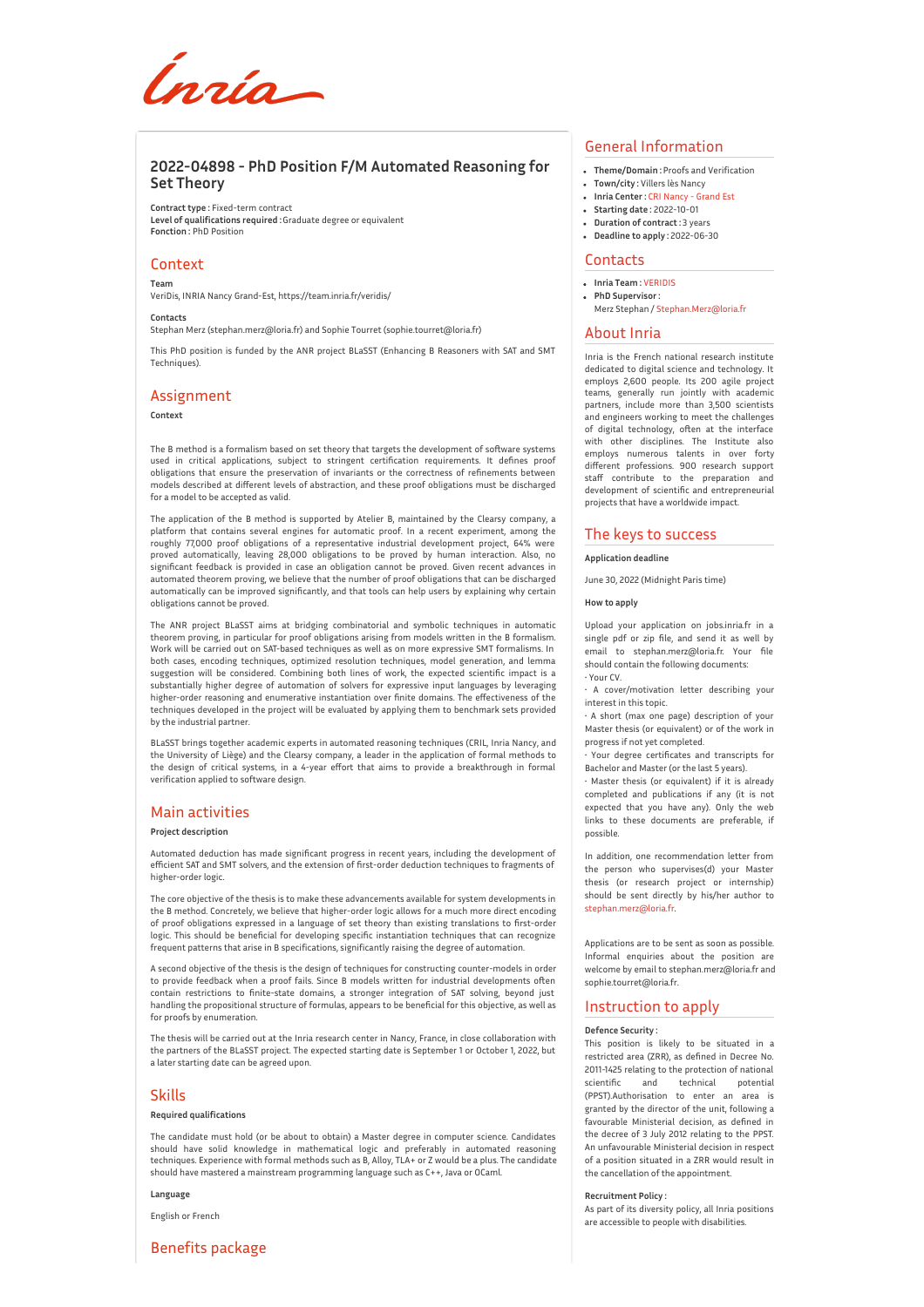Ínría

# **2022-04898 - PhD Position F/M Automated Reasoning for Set Theory**

**Contract type :** Fixed-term contract **Level of qualifications required :**Graduate degree or equivalent **Fonction :** PhD Position

# Context

**Team**

VeriDis, INRIA Nancy Grand-Est, https://team.inria.fr/veridis/

**Contacts**

Stephan Merz (stephan.merz@loria.fr) and Sophie Tourret (sophie.tourret@loria.fr)

This PhD position is funded by the ANR project BLaSST (Enhancing B Reasoners with SAT and SMT Techniques).

# Assignment

**Context**

The B method is a formalism based on set theory that targets the development of software systems used in critical applications, subject to stringent certification requirements. It defines proof obligations that ensure the preservation of invariants or the correctness of refinements between models described at different levels of abstraction, and these proof obligations must be discharged for a model to be accepted as valid.

The application of the B method is supported by Atelier B, maintained by the Clearsy company, a platform that contains several engines for automatic proof. In a recent experiment, among the roughly 77,000 proof obligations of a representative industrial development project, 64% were proved automatically, leaving 28,000 obligations to be proved by human interaction. Also, no significant feedback is provided in case an obligation cannot be proved. Given recent advances in automated theorem proving, we believe that the number of proof obligations that can be discharged automatically can be improved significantly, and that tools can help users by explaining why certain obligations cannot be proved.

The ANR project BLaSST aims at bridging combinatorial and symbolic techniques in automatic theorem proving, in particular for proof obligations arising from models written in the B formalism. Work will be carried out on SAT-based techniques as well as on more expressive SMT formalisms. In both cases, encoding techniques, optimized resolution techniques, model generation, and lemma suggestion will be considered. Combining both lines of work, the expected scientific impact is a substantially higher degree of automation of solvers for expressive input languages by leveraging higher-order reasoning and enumerative instantiation over finite domains. The effectiveness of the techniques developed in the project will be evaluated by applying them to benchmark sets provided by the industrial partner.

BLaSST brings together academic experts in automated reasoning techniques (CRIL, Inria Nancy, and the University of Liège) and the Clearsy company, a leader in the application of formal methods to the design of critical systems, in a 4-year effort that aims to provide a breakthrough in formal verification applied to software design.

# Main activities

### **Project description**

Automated deduction has made significant progress in recent years, including the development of efficient SAT and SMT solvers, and the extension of first-order deduction techniques to fragments of higher-order logic

The core objective of the thesis is to make these advancements available for system developments in the B method. Concretely, we believe that higher-order logic allows for a much more direct encoding of proof obligations expressed in a language of set theory than existing translations to first-order logic. This should be beneficial for developing specific instantiation techniques that can recognize frequent patterns that arise in B specifications, significantly raising the degree of automation.

A second objective of the thesis is the design of techniques for constructing counter-models in order to provide feedback when a proof fails. Since B models written for industrial developments often contain restrictions to finite-state domains, a stronger integration of SAT solving, beyond just handling the propositional structure of formulas, appears to be beneficial for this objective, as well as for proofs by enumeration.

The thesis will be carried out at the Inria research center in Nancy, France, in close collaboration with the partners of the BLaSST project. The expected starting date is September 1 or October 1, 2022, but a later starting date can be agreed upon.

## Skills

#### **Required qualifications**

The candidate must hold (or be about to obtain) a Master degree in computer science. Candidates should have solid knowledge in mathematical logic and preferably in automated reasoning techniques. Experience with formal methods such as B, Alloy, TLA+ or Z would be a plus. The candidate should have mastered a mainstream programming language such as C++, Java or OCaml.

#### **Language**

English or French

# Benefits package

# General Information

- **Theme/Domain :** Proofs and Verification
- **Town/city :** Villers lès Nancy
- **Inria Center :** CRI [Nancy](http://www.inria.fr/centre/nancy) Grand Est
- **Starting date :** 2022-10-01
- **Duration of contract :** 3 years
- **Deadline to apply :** 2022-06-30

## **Contacts**

- **Inria Team :**[VERIDIS](https://www.inria.fr/equipes/VERIDIS)
- **PhD Supervisor :** Merz Stephan / [Stephan.Merz@loria.fr](mailto:Stephan.Merz@loria.fr)

#### About Inria

Inria is the French national research institute dedicated to digital science and technology. It employs 2,600 people. Its 200 agile project teams, generally run jointly with academic partners, include more than 3,500 scientists and engineers working to meet the challenges of digital technology, often at the interface with other disciplines. The Institute also employs numerous talents in over forty different professions. 900 research support staff contribute to the preparation and development of scientific and entrepreneurial projects that have a worldwide impact.

## The keys to success

**Application deadline**

June 30, 2022 (Midnight Paris time)

#### **How to apply**

Upload your application on jobs.inria.fr in a single pdf or zip file, and send it as well by email to stephan.merz@loria.fr. Your file should contain the following documents: • Your CV.

• A cover/motivation letter describing your interest in this topic.

• A short (max one page) description of your Master thesis (or equivalent) or of the work in progress if not yet completed.

• Your degree certificates and transcripts for Bachelor and Master (or the last 5 years).

• Master thesis (or equivalent) if it is already completed and publications if any (it is not expected that you have any). Only the web links to these documents are preferable, if possible.

In addition, one recommendation letter from the person who supervises(d) your Master thesis (or research project or internship) should be sent directly by his/her author to [stephan.merz@loria.fr](mailto:stephan.merz@loria.fr).

Applications are to be sent as soon as possible. Informal enquiries about the position are welcome by email to stephan.merz@loria.fr and sophie.tourret@loria.fr.

## Instruction to apply

#### **Defence Security :**

This position is likely to be situated in a restricted area (ZRR), as defined in Decree No. 2011-1425 relating to the protection of national scientific and technical potential (PPST).Authorisation to enter an area is granted by the director of the unit, following a favourable Ministerial decision, as defined in the decree of 3 July 2012 relating to the PPST. An unfavourable Ministerial decision in respect of a position situated in a ZRR would result in the cancellation of the appointment.

#### **Recruitment Policy :**

As part of its diversity policy, all Inria positions are accessible to people with disabilities.